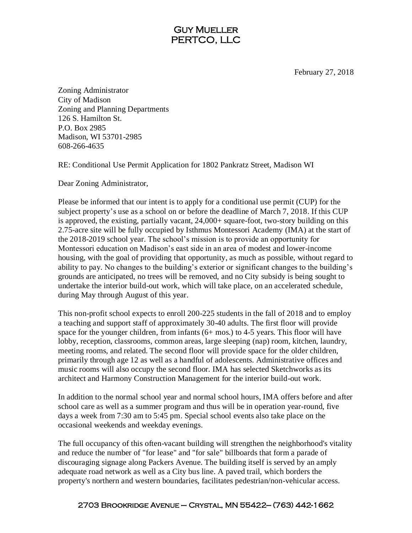## Guy Mueller PERTCO, LLC

February 27, 2018

Zoning Administrator City of Madison Zoning and Planning Departments 126 S. Hamilton St. P.O. Box 2985 Madison, WI 53701-2985 608-266-4635

RE: Conditional Use Permit Application for 1802 Pankratz Street, Madison WI

Dear Zoning Administrator,

Please be informed that our intent is to apply for a conditional use permit (CUP) for the subject property's use as a school on or before the deadline of March 7, 2018. If this CUP is approved, the existing, partially vacant, 24,000+ square-foot, two-story building on this 2.75-acre site will be fully occupied by Isthmus Montessori Academy (IMA) at the start of the 2018-2019 school year. The school's mission is to provide an opportunity for Montessori education on Madison's east side in an area of modest and lower-income housing, with the goal of providing that opportunity, as much as possible, without regard to ability to pay. No changes to the building's exterior or significant changes to the building's grounds are anticipated, no trees will be removed, and no City subsidy is being sought to undertake the interior build-out work, which will take place, on an accelerated schedule, during May through August of this year.

This non-profit school expects to enroll 200-225 students in the fall of 2018 and to employ a teaching and support staff of approximately 30-40 adults. The first floor will provide space for the younger children, from infants (6+ mos.) to 4-5 years. This floor will have lobby, reception, classrooms, common areas, large sleeping (nap) room, kitchen, laundry, meeting rooms, and related. The second floor will provide space for the older children, primarily through age 12 as well as a handful of adolescents. Administrative offices and music rooms will also occupy the second floor. IMA has selected Sketchworks as its architect and Harmony Construction Management for the interior build-out work.

In addition to the normal school year and normal school hours, IMA offers before and after school care as well as a summer program and thus will be in operation year-round, five days a week from 7:30 am to 5:45 pm. Special school events also take place on the occasional weekends and weekday evenings.

The full occupancy of this often-vacant building will strengthen the neighborhood's vitality and reduce the number of "for lease" and "for sale" billboards that form a parade of discouraging signage along Packers Avenue. The building itself is served by an amply adequate road network as well as a City bus line. A paved trail, which borders the property's northern and western boundaries, facilitates pedestrian/non-vehicular access.

## 2703 Brookridge Avenue – Crystal, MN 55422— (763) 442-1662